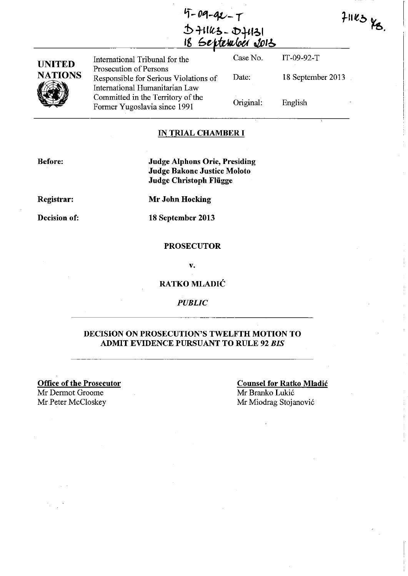7-09-92-7 **.:!:Hi I** {£,~ - ob **+t f,; I**  <u>I8 September Jols</u>

| <b>UNITED</b><br><b>NATIONS</b> | International Tribunal for the                                                                    | Case No.  | $IT-09-92-T$      |
|---------------------------------|---------------------------------------------------------------------------------------------------|-----------|-------------------|
|                                 | Prosecution of Persons<br>Responsible for Serious Violations of<br>International Humanitarian Law | Date:     | 18 September 2013 |
|                                 | Committed in the Territory of the<br>Former Yugoslavia since 1991                                 | Original: | English           |

# IN **TRIAL CHAMBER I**

**Before:** 

**Judge Alphons Orie, Presiding Judge Bakone Justice Moloto Judge Christoph Fliigge** 

**Registrar:** 

**Mr John Hocking** 

**Decision of:** 

**18 September 2013** 

## **PROSECUTOR**

v.

# **RATKO MLADIC**

*PUBLIC* 

# **DECISION ON PROSECUTION'S TWELFTH MOTION TO ADMIT EVIDENCE PURSUANT TO RULE 92** *BIS*

**Office of the Prosecutor**  Mr Dermot Groome Mr Peter McCloskey Mr Miodrag Stojanović

# **Counsel for Ratko Mladic**  Mr Branko Lukić

 $71123$  KB.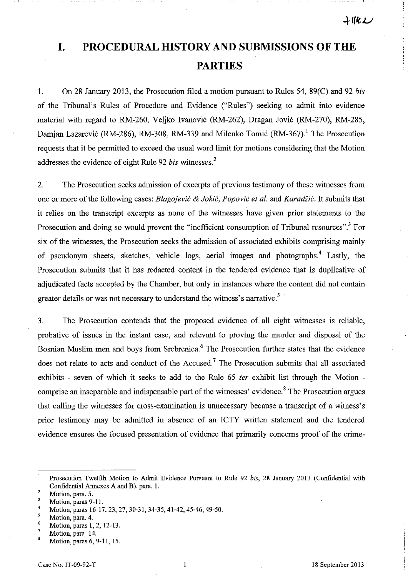**I. PROCEDURAL HISTORY AND SUBMISSIONS OF THE PARTIES** 

1. On 28 January 2013, the Prosecution filed a motion pursuant to Rules 54, 89(C) and 92 *bis*  of the Tribunal's Rules of Procedure and Evidence ("Rules") seeking to admit into evidence material with regard to RM-260, Veljko Ivanovic (RM-262), Dragan Jovic (RM-270), RM-285, Damjan Lazarević (RM-286), RM-308, RM-339 and Milenko Tomić (RM-367).<sup>1</sup> The Prosecution requests that it be permitted to exceed the usual word limit for motions considering that the Motion addresses the evidence of eight Rule 92 *bis* witnesses.<sup>2</sup>

2. The Prosecution seeks admission of excerpts of previous testimony of these witnesses from one or more of the following cases: *Blagojevic* & *Jokic, Popovic ef al.* and *Karadiic.* It submits that it relies on the transcript excerpts as none of the witnesses have given prior statements to the Prosecution and doing so would prevent the "inefficient consumption of Tribunal resources".<sup>3</sup> For six of the witnesses, the Prosecution seeks the admission of associated exhibits comprising mainly of pseudonym sheets, sketches, vehicle logs, aerial images and photographs.<sup>4</sup> Lastly, the Prosecution submits that it has redacted content in the tendered evidence that is duplicative of adjudicated facts accepted by the Chamber, but only in instances where the content did not contain greater details or was not necessary to understand the witness's narrative.<sup>5</sup>

3. The Prosecution contends that the proposed evidence of all eight witnesses is reliable, probative of issues in the instant case, and relevant to proving the murder and disposal of the Bosnian Muslim men and boys from Srebrenica.<sup>6</sup> The Prosecution further states that the evidence does not relate to acts and conduct of the Accused.<sup>7</sup> The Prosecution submits that all associated exhibits - seven of which it seeks to add to the Rule 65 *fer* exhibit list through the Motion comprise an inseparable and indispensable part of the witnesses' evidence.<sup>8</sup> The Prosecution argues that calling the witnesses for cross-examination is unnecessary because a transcript of a witness's prior testimony may be admitted in absence of an ICTY written statement and the tendered evidence ensures the focused presentation of evidence that primarily concerns proof of the crime-

 $\mathbf{1}$ Prosecution Twelfth Motion to Admit Evidence Pursuant to Rule 92 *bis,* 28 January 2013 (Confidential with Confidential Annexes A and B), para. 1.

<sup>2</sup>  **Motion, para. 5.** 

<sup>3</sup> Motion, paras 9-11.

<sup>4</sup>  Motion, paras 16-17,23,27,30-31,34-35,41-42,45-46,49-50.

<sup>5</sup>  Motion, para. 4.

<sup>6</sup>  7 Motion, paras 1, 2, 12-13.

Motion, para. 14.

 $\mathbf{a}$ Motion, paras 6, 9-11, 15.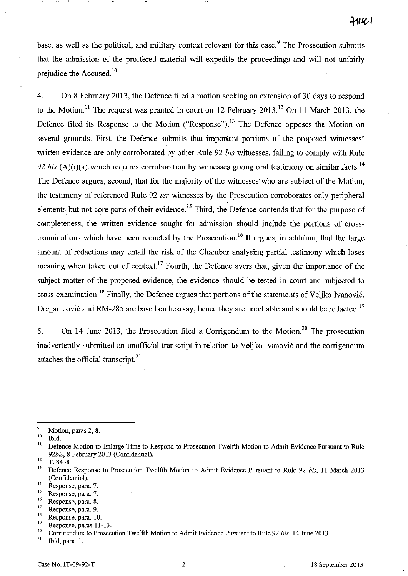11 1

base, as well as the political, and military context relevant for this case.<sup>9</sup> The Prosecution submits that the admission of the proffered material will expedite the proceedings and will not unfairly prejudice the Accused. $10$ 

4. On 8 February 2013, the Defence filed a motion seeking an extension of 30 days to respond to the Motion.<sup>11</sup> The request was granted in court on 12 February 2013.<sup>12</sup> On 11 March 2013, the Defence filed its Response to the Motion ("Response").<sup>13</sup> The Defence opposes the Motion on several grounds. First, the Defence submits that important portions of the proposed witnesses' written evidence are only corroborated by other Rule 92 *bis* witnesses, failing to comply with Rule 92 bis  $(A)(i)(a)$  which requires corroboration by witnesses giving oral testimony on similar facts.<sup>14</sup> The Defence argues, second, that for the majority of the witnesses who are subject of the Motion, the testimony of referenced Rule 92 fer witnesses by the Prosecution corroborates only peripheral elements but not core parts of their evidence.<sup>15</sup> Third, the Defence contends that for the purpose of completeness, the written evidence sought for admission should include the portions of crossexaminations which have been redacted by the Prosecution.<sup>16</sup> It argues, in addition, that the large amount of redactions may entail the risk of the Chamber analysing partial testimony which loses meaning when taken out of context.<sup>17</sup> Fourth, the Defence avers that, given the importance of the subject matter of the proposed evidence, the evidence should be tested in court and subjected to cross-examination.<sup>18</sup> Finally, the Defence argues that portions of the statements of Veliko Ivanović, Dragan Jović and RM-285 are based on hearsay; hence they are unreliable and should be redacted.<sup>19</sup>

5. On 14 June 2013, the Prosecution filed a Corrigendum to the Motion.<sup>20</sup> The prosecution inadvertently submitted an unofficial transcript in relation to Veljko Ivanović and the corrigendum attaches the official transcript.<sup>21</sup>

- <sup>15</sup> Response, para. 7.<br><sup>16</sup> Perponse, para. 8
- $\frac{16}{17}$  Response, para. 8.
- $\frac{17}{18}$  Response, para. 9.
- $\frac{18}{19}$  Response, para. 10.
- $19$  Response, paras 11-13.

Ibid, para. 1.

 $\frac{9}{10}$  Motion, paras 2, 8.

 $\frac{10}{11}$  Ibid.

<sup>11</sup> Defence Motion to Enlarge Time to Respond to Prosecution Twelfth Motion to Admit Evidence Pursuant to Rule *92bis,* 8 February 2013 (Confidential).

 $12 \tT. 8438$ <br> $13 \tDefermes$ 

<sup>13</sup> Defence Response to Prosecution Twelfth Motion to Admit Evidence Pursuant to Rule 92 *bis,* 11 March 2013 (Confidential).

<sup>&</sup>lt;sup>14</sup> Response, para. 7.

<sup>&</sup>lt;sup>20</sup> Corrigendum to Prosecution Twelfth Motion to Admit Evidence Pursuant to Rule 92 *bis*, 14 June 2013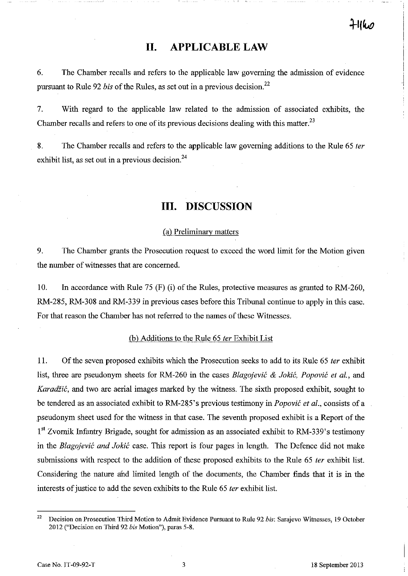# **11. APPLICABLE LAW**

6. The Chamber recalls and refers to the applicable law governing the admission of evidence pursuant to Rule 92 *bis* of the Rules, as set out in a previous decision.<sup>22</sup>

7. With regard to the applicable law related to the admission of associated exhibits, the Chamber recalls and refers to one of its previous decisions dealing with this matter.<sup>23</sup>

8. The Chamber recalls and refers to the applicable law governing additions to the Rule 65 *ter*  exhibit list, as set out in a previous decision. $^{24}$ 

# **Ill. DISCUSSION**

#### ( a) Preliminary matters

9. The Chamber grants the Prosecution request to exceed the word limit for the Motion given the number of witnesses that are concerned.

10. In accordance with Rule 75 (F) (i) of the Rules, protective measures as granted to RM-260, RM-285, RM-308 and RM-339 in previous cases before this Tribunal continue to apply in this case. For that reason the Chamber has not referred to the names of these Witnesses.

#### Cb) Additions to the Rule 65 *ter* Exhibit List

11. Of the seven proposed exhibits which the Prosecution seeks to add to its Rule 65 *ter* exhibit list, three are pseudonym sheets for RM-260 in the cases *Blagojevic* & *Jokic, Popovic et al.,* and *Karadžić*, and two are aerial images marked by the witness. The sixth proposed exhibit, sought to be tendered as an associated exhibit to RM-285's previous testimony in *Popovic et al.,* consists of a pseudonym sheet used for the witness in that case. The seventh proposed exhibit is a Report of the  $1<sup>st</sup> Zvornik Infantry Brigade, sought for admission as an associated exhibit to RM-339's testimony$ in the *Blagojevic and Jokic* case. This report is four pages in length. The Defence did not make submissions with respect to the addition of these proposed exhibits to the Rule 65 *ter* exhibit list. Considering the nature and limited length of the documents, the Chamber finds that it is in the interests of justice to add the seven exhibits to the Rule 65 *ter* exhibit list.

<sup>22</sup> Decision on Prosecution Third Motion to Admit Evidence Pursuant to Rule 92 *his:* Sarajevo Witnesses, 19 October 2012 ("Decision on Third 92 *bis* Motion"), paras 5-8.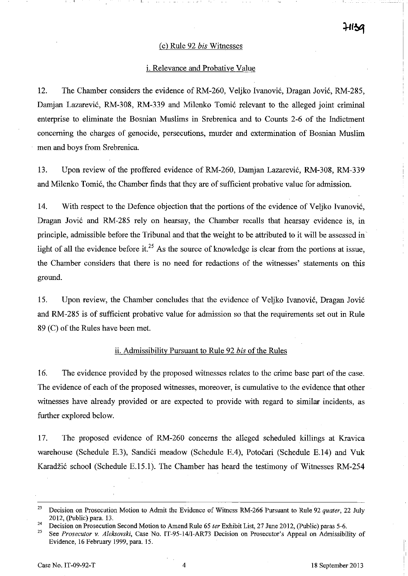#### (c) Rule 92 *bis* Witnesses

## i. Relevance and Probative Value

12. The Chamber considers the evidence of RM-260, Veljko Ivanović, Dragan Jović, RM-285, Damjan Lazarević, RM-308, RM-339 and Milenko Tomić relevant to the alleged joint criminal enterprise to eliminate the Bosnian Muslims in Srebrenica and to Counts 2-6 of the Indictment concerning the charges of genocide, persecutions, murder and extermination of Bosnian Muslim men and boys from Srebrenica.

13. Upon review of the proffered evidence of RM-260, Damjan Lazarević, RM-308, RM-339 and Milenko Tomić, the Chamber finds that they are of sufficient probative value for admission.

14. With respect to the Defence objection that the portions of the evidence of Veljko Ivanović, Dragan Jović and RM-285 rely on hearsay, the Chamber recalls that hearsay evidence is, in principle, admissible before the Tribunal and that the weight to be attributed to it will be assessed in light of all the evidence before it.<sup>25</sup> As the source of knowledge is clear from the portions at issue, the Chamber considers that there is no need for redactions of the witnesses' statements on this ground.

15. Upon review, the Chamber concludes that the evidence of Veljko Ivanović, Dragan Jović and RM-285 is of sufficient probative value for admission so that the requirements set out in Rule 89 (C) of the Rules have been met.

## ii. Admissibilitv Pursuant to Rule 92 *bis* of the Rules

16. The evidence provided by the proposed witnesses relates to the crime base part of the case. The evidence of each of the proposed witnesses, moreover, is cumulative to the evidence that other witnesses have already provided or are expected to provide with regard to similar incidents, as further explored below.

17. The proposed evidence of RM-260 concerns the alleged scheduled killings at Kravica warehouse (Schedule E.3), Sandići meadow (Schedule E.4), Potočari (Schedule E.14) and Vuk Karadžić school (Schedule E.15.1). The Chamber has heard the testimony of Witnesses RM-254

I I I

<sup>23</sup> Decision on Prosecution Motion to Admit the Evidence of Witness RM-266 Pursuant to Rule 92 *quater,* 22 July 2012, (public) para. 13.

<sup>&</sup>lt;sup>24</sup> Decision on Prosecution Second Motion to Amend Rule 65 *ter* Exhibit List, 27 June 2012, (Public) paras 5-6.<br><sup>25</sup> See *Buseautan u. Alghanuhi*, Case No. IT 05 14/LAB72 Desiging an Prosecution's Armael an Admissibility

<sup>25</sup> See *Prosecutor v. Aleksovski,* Case No. IT-95-14/I-AR73 Decision on Prosecutor's Appeal on Admissibility of Evidence, 16 February 1999, para. 15.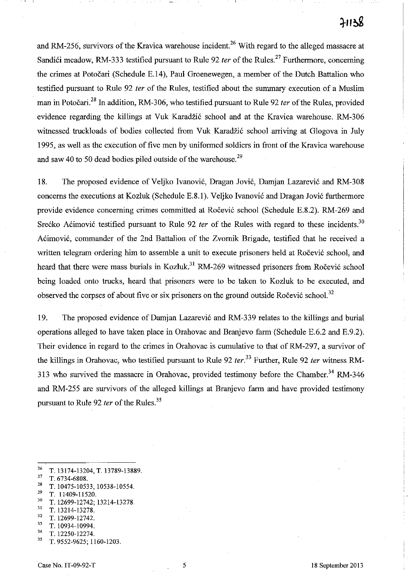# $71138$

and RM-256, survivors of the Kravica warehouse incident.<sup>26</sup> With regard to the alleged massacre at Sandići meadow, RM-333 testified pursuant to Rule 92 *ter* of the Rules.<sup>27</sup> Furthermore, concerning the crimes at Potocari (Schedule E.14), Paul Groenewegen, a member of the Dutch Battalion who testified pursuant to Rule 92 fer of the Rules, testified about the summary execution of a Muslim man in Potočari.<sup>28</sup> In addition, RM-306, who testified pursuant to Rule 92 *ter* of the Rules, provided evidence regarding the killings at Vuk Karadžić school and at the Kravica warehouse. RM-306 witnessed truckloads of bodies collected from Vuk Karadžić school arriving at Glogova in July 1995, as well as the execution of five men by uniformed soldiers in front of the Kravica warehouse and saw 40 to 50 dead bodies piled outside of the warehouse.<sup>29</sup>

18. The proposed evidence of Veljko Ivanović, Dragan Jović, Damjan Lazarević and RM-308 concerns the executions at Kozluk (Schedule E.8.1). Veljko Ivanović and Dragan Jović furthermore provide evidence concerning crimes committed at Rocevic school (Schedule E.S.2). RM-269 and Srećko Aćimović testified pursuant to Rule 92 ter of the Rules with regard to these incidents.<sup>30</sup> Acimović, commander of the 2nd Battalion of the Zvornik Brigade, testified that he received a written telegram ordering him to assemble a unit to execute prisoners held at Ročević school, and heard that there were mass burials in Kozluk.<sup>31</sup> RM-269 witnessed prisoners from Ročević school being loaded onto trucks, heard that prisoners were to be taken to Kozluk to be executed, and observed the corpses of about five or six prisoners on the ground outside Ročević school.<sup>32</sup>

19. The proposed evidence of Damjan Lazarevi6 and RM-339 relates to the killings and burial operations alleged to have taken place in Orahovac and Branjevo farm (Schedule E.6.2 and E.9.2). Their evidence in regard to the crimes in Orahovac is cumulative to that of RM-297, a survivor of the killings in Orahovac, who testified pursuant to Rule 92 *ter.* <sup>33</sup> Further, Rule 92 *ter* witness RM-313 who survived the massacre in Orahovac, provided testimony before the Chamber.<sup>34</sup> RM-346 and RM-255 are survivors of the alleged killings at Branjevo farm and have provided testimony pursuant to Rule 92 *ter* of the Rules.<sup>35</sup>

<sup>28</sup> T. 10475-10533, 10538-10554.<br><sup>29</sup> T. 11400 11520.

- $\frac{30}{31}$  T. 12699-12742; 13214-13278.
- $\frac{31}{32}$  T. 13214-13278.
- $\frac{32}{33}$  T. 12699-12742.
- $\frac{33}{34}$  T. 10934-10994.
- $\frac{34}{35}$  T. 12250-12274.
- 35 T. 9552-9625; 1160-1203.

<sup>&</sup>lt;sup>26</sup> T. 13174-13204, T. 13789-13889.

<sup>&</sup>lt;sup>27</sup> T. 6734-6808.

 $\frac{29}{30}$  T. 11409-11520.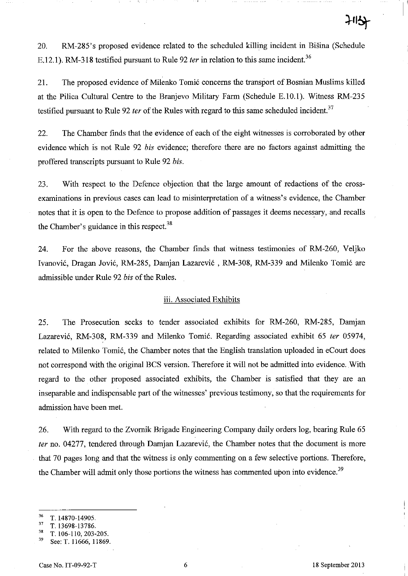20. RM-285's proposed evidence related to the scheduled killing incident in Bišina (Schedule E.12.1). RM-318 testified pursuant to Rule 92 *ter* in relation to this same incident.<sup>36</sup>

21. The proposed evidence of Milenko Tomic concerns the transport of Bosnian Muslims killed at the Pilica Cultural Centre to the Branjevo Military Farm (Schedule E.lO.l). Witness RM-235 testified pursuant to Rule 92 ter of the Rules with regard to this same scheduled incident.<sup>37</sup>

22. The Chamber finds that the evidence of each of the eight witnesses is corroborated by other evidence which is not Rule 92 *his* evidence; therefore there are no factors against admitting the proffered transcripts pursuant to Rule 92 *his.* 

23. With respect to the Defence objection that the large amount of redactions of the crossexaminations in previous cases can lead to misinterpretation of a witness's evidence, the Chamber notes that it is open to the Defence to propose addition of passages it deems necessary, and recalls the Chamber's guidance in this respect.<sup>38</sup>

24. For the above reasons, the Chamber finds that witness testimonies of RM-260, Veljko Ivanovic, Dragan Jovic, RM-285, Damjan Lazarevic , RM-308, RM-339 and Milenko Tomic are admissible under Rule 92 *his* of the Rules.

#### iii. Associated Exhibits

25. The Prosecution seeks to tender associated exhibits for RM-260, RM-285, Damjan Lazatević, RM-308, RM-339 and Milenko Tomić. Regarding associated exhibit 65 *ter* 05974, related to Milenko Tomic, the Chamber notes that the English translation uploaded in eCourt does not correspond with the original BCS version. Therefore it will not be admitted into evidence. With regard to the other proposed associated exhibits, the Chamber is satisfied that they are an inseparable and indispensable part of the witnesses' previous testimony, so that the requirements for admission have been met.

26. With regard to the Zvornik Brigade Engineering Company daily orders log, bearing Rule 65 fer no. 04277, tendered through Damjan Lazarevic, the Chamber notes that the document is more that 70 pages long and that the witness is only commenting on a few selective portions. Therefore, the Chamber will admit only those portions the witness has commented upon into evidence.<sup>39</sup>

 $\frac{36}{37}$  T. 14870-14905.

 $\frac{37}{38}$  T. 13698-13786.

 $\frac{38}{39}$  T. 106-110, 203-205.

See: T. 11666, 11869.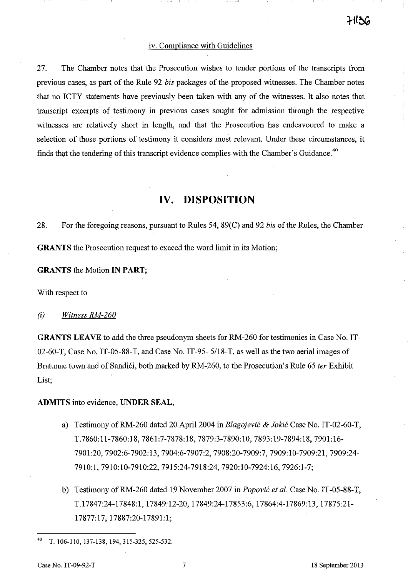## iv. Compliance with Guidelines

27. The Chamber notes that the Prosecution wishes to tender portions of the transcripts from previous cases, as part of the Rule 92 *his* packages of the proposed witnesses. The Chamber notes that no ICTY statements have previously been taken with any of the witnesses. It also notes that transcript excerpts of testimony in previous cases sought for admission through the respective witnesses are relatively short in length, and that the Prosecution has endeavoured to make a selection of those portions of testimony it considers most relevant. Under these circumstances, it finds that the tendering of this transcript evidence complies with the Chamber's Guidance. $40$ 

# **IV. DISPOSITION**

28. For the foregoing reasons, pursuant to Rules 54, 89(C) and 92 *his* of the Rules, the Chamber **GRANTS** the Prosecution request to exceed the word limit in its Motion;

#### **GRANTS** the Motion IN **PART;**

With respect to

#### (i) *Witness RM-260*

**GRANTS LEAVE** to add the three pseudonym sheets for RM-260 for testimonies in Case No. IT-02-60-T, Case No. IT-05-88-T, and Case No. IT-95- *5/18-T,* as well as the two aerial images of Bratunac town and of Sandići, both marked by RM-260, to the Prosecution's Rule 65 *ter* Exhibit List;

**ADMITS** into evidence, **UNDER SEAL,** 

- a) Testimony ofRM-260 dated 20 April 2004 in *Blagojevic* & *Jokic* Case No. IT -02-60-T, T.7860:1l-7860:18, 7861:7-7878:18, 7879:3-7890:10, 7893:19-7894:18, 7901:16- 7901:20,7902:6-7902:13,7904:6-7907:2, 7908:20-7909:7, 7909:10-7909:21, 7909:24- 7910:1,7910:10-7910:22,7915:24-7918:24, 7920:10-7924:16, 7926:1-7;
- b) Testimony ofRM-260 dated 19 November 2007 in *Popovic et al.* Case No. IT-05-88-T, T.17847:24-17848:1, 17849:12-20, 17849:24-17853:6, 17864:4-17869:13, 17875:21- 17877:17, 17887:20-17891:1;

<sup>40</sup> T. 106-110, 137-138, 194,315-325,525-532.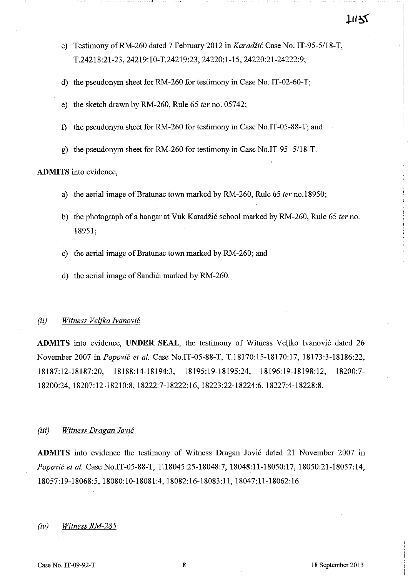# TUZZ

- c) Testimony ofRM-260 dated 7 February 2012 in *Karadiic* Case No. *IT-95-5/18-T,*  T.24218:21-23, 24219:10-T.24219:23, 24220:1-15, 24220:21-24222:9;
- d) the pseudonym sheet for RM-260 for testimony in Case No. IT-02-60-T;
- e) the sketch drawn by RM-260, Rule 65 *ter* no. 05742;
- f) the pseudonym sheet for RM-260 for testimony in Case No.IT-05-88-T; and
- g) the pseudonym sheet for RM-260 for testimony in Case No.IT-95- *5/18-T.*

# **ADMITS** into evidence,

- a) the aerial image of Bratunac town marked by RM-260, Rule 65 *ter* no.l8950;
- b) the photograph of a hangar at Vuk Karadzi6 school marked by RM-260, Rule 65 *ter* no. 18951;
- c) the aerial image of Bratunac town marked by RM-260; and
- d) the aerial image of Sandići marked by RM-260.

#### *(ii) Witness Veljko Ivanovic*

**ADMITS** into evidence, **UNDER SEAL**, the testimony of Witness Veljko Ivanović dated 26 November 2007 in *Popovic et al.* Case No.IT-05-88-T, T.l8170:15-18170:17, 18173:3-18186:22, 18187: 12-18187:20, 18188: 14-18194:3, 18195:19-18195:24, 18196: 19-18198: 12, 18200:7- 18200:24,18207:12-18210:8, 18222:7-18222:16, 18223:22-18224:6, 18227:4-18228:8.

#### *(iii) Witness Dragan Jovic*

**ADMITS** into evidence the testimony of Witness Dragan Jović dated 21 November 2007 in *Popovic et al.* Case No.IT-05-88-T, T.18045:25-18048:7, 18048:11-18050:17, 18050:21-18057:14, 18057: 19-18068:5, 18080:10-18081 :4, 18082:16-18083:11, 18047:11-18062:16.

#### *(iv) Witness RM-285*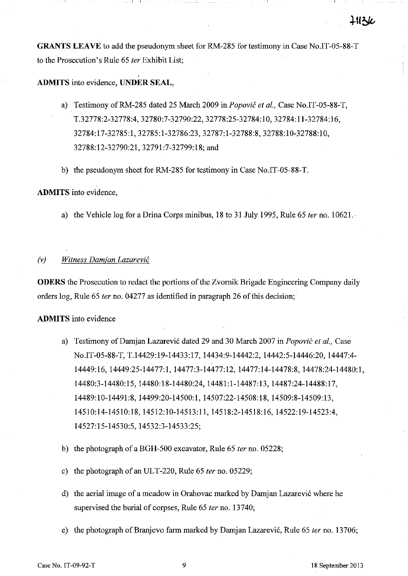**GRANTS LEAVE** to add the pseudonym sheet for RM-285 for testimony in Case No.IT-05-88-T to the Prosecution's Rule 65 *ter* Exhibit List;

**ADMITS** into evidence, **UNDER SEAL,** 

 $\mathbf{I}$ 

- a) Testimony ofRM-285 dated 25 March 2009 *inPopovic et al.,* Case No.IT-05-88-T, T.32778:2-32778:4, 32780:7-32790:22, 32778:25-32784: I 0, 32784: 11-32784:16, 32784:17-32785:1,32785:1-32786:23, 32787:1-32788:8, 32788:10-32788:10, 32788:12-32790:21,32791:7-32799:18; and
- b) the pseudonym sheet for RM-285 for testimony in Case No.IT-05-88-T.

# **ADMITS** into evidence,

a) the Vehicle log for a Drina Corps minibus, 18 to 31 July 1995, Rule 65 *ter* no. 10621.·

# *(v) Witness Damjan Lazarevic*

**ODERS** the Prosecution to redact the portions of the Zvomik Brigade Engineering Company daily orders log, Rule 65 *ter* no. 04277 as identified in paragraph 26 of this decision;

#### **ADMITS** into evidence

- a) Testimony of Damjan Lazarevic dated 29 and 30 March 2007 in *Popovic et al.,* Case No.IT-05-88-T, T.14429:19-14433:17, 14434:9-14442:2, 14442:5-14446:20, 14447:4- 14449:16,14449:25-14477:1, 14477:3-14477:12, 14477:14-14478:8, 14478:24-14480:1, 14480:3-14480:15, 14480:18-14480:24, 14481 :1-14487:13, 14487:24-14488:17, 14489:10-14491 :8, 14499:20-14500:1, 14507:22-14508:18, 14509:8-14509:13, 14510:14-14510:18, 14512:10-14513:11, 14518:2-14518:16, 14522:19-14523:4, 14527: 15-14530:5, 14532:3-14533:25;
- b) the photograph ofa BGH-500 excavator, Rule 65 *ter* no. 05228;
- c) the photograph of an UL T -220, Rule 65 *ter* no. 05229;
- d) the aerial image of a meadow in Orahovac marked by Damjan Lazarevic where he supervised the burial of corpses, Rule 65 *fer* no. 13740;
- e) the photograph of Branjevo farm marked by Damjan Lazarevic, Rule 65 *ter* no. 13706;

**]111.26**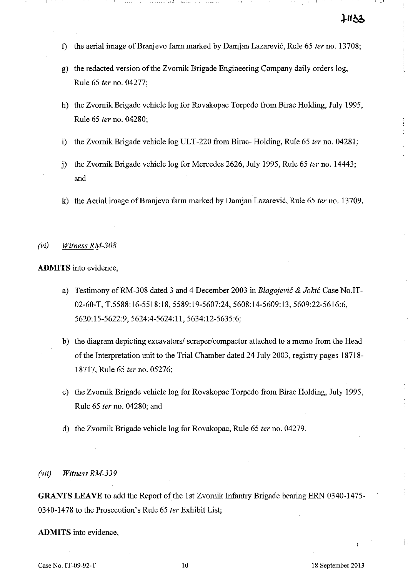- f) the aerial image of Branjevo farm marked by Damjan Lazarevic, Rule 65 fer no. 13708;
- g) the redacted version of the Zvomik Brigade Engineering Company daily orders log, Rule 65 fer no. 04277;
- h) the Zvomik Brigade vehicle log for Rovakopac Torpedo from Birac Holding, July 1995, Rule 65 fer no. 04280;
- i) the Zvornik Brigade vehicle log ULT-220 from Birac- Holding, Rule 65 ter no. 04281;
- j) the Zvornik Brigade vehicle log for Mercedes 2626, July 1995, Rule 65 ter no. 14443; and
- k) the Aerial image of Branjevo farm marked by Damjan Lazarević, Rule 65 ter no. 13709.

#### (vi) Wifness RM-308

**ADMITS** into evidence,

- a) Testimony of RM-308 dated 3 and 4 December 2003 in Blagojević & Jokić Case No.IT-02-60-T, T.5588: 16-5518: 18, 5589:19-5607:24, 5608: 14-5609: 13, 5609:22-5616:6, 5620:15-5622:9,5624:4-5624:11,5634:12-5635:6;
- b) the diagram depicting excavators/ scraper/compactor attached to a memo from the Head of the Interpretation unit to the Trial Chamber dated 24 July 2003, registry pages 18718- 18717, Rule 65 fer no. 05276;
- c) the Zvornik Brigade vehicle log for Rovakopac Torpedo from Birac Holding, July 1995, Rule 65 fer no. 04280; and
- d) the Zvomik Brigade vehicle log for Rovakopac, Rule 65 fer no. 04279.

#### (vii) Wifness RM-339

**GRANTS LEAVE** to add the Report of the 1st Zvomik Infantry Brigade bearing ERN 0340-1475- 0340-1478 to the Prosecution's Rule 65 fer Exhibit List;

**ADMITS** into evidence,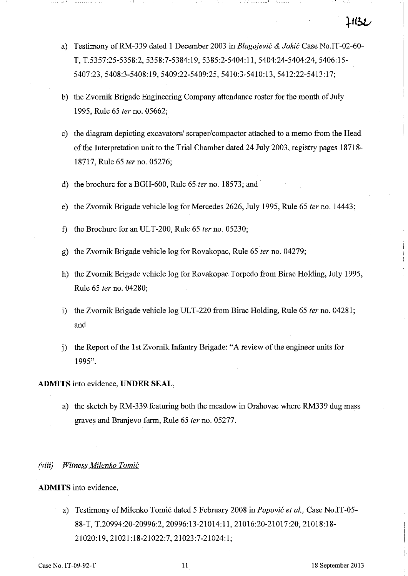- a) Testimony of RM-339 dated 1 December 2003 in *Blagojević & Jokić* Case No.IT-02-60-**T,** *T.5357:25-5358:2,* 5358:7-5384:19, 5385:2-5404:11, 5404:24-5404:24, 5406:15- 5407:23,5408:3-5408:19,5409:22-5409:25, 5410:3-5410:13, 5412:22-5413:17;
- b) the Zvornik Brigade Engineering Company attendance roster for the month of July 1995, Rule 65 ter no. 05662;
- c) the diagram depicting excavators/scraper/compactor attached to a memo from the Head of the Interpretation unit to the Trial Chamber dated 24 July 2003, registry pages 18718- 18717, Rule 65 fer no. 05276;
- d) the brochure for a BGH-600, Rule 65 ter no. 18573; and
- e) the Zvomik Brigade vehicle log for Mercedes 2626, July 1995, Rule 65 fer no. 14443;
- f) the Brochure for an ULT -200, Rule 65 fer no. 05230;
- g) the Zvornik Brigade vehicle log for Rovakopac, Rule 65 fer no. 04279;
- h) the Zvomik Brigade vehicle log for Rovakopac Torpedo from Birac Holding, July 1995, Rule 65 fer no. 04280;
- i) the Zvomik Brigade vehicle log ULT-220 from Birac Holding, Rule 65 fer no. 04281; and
- j) the Report of the 1st Zvomik Infantry Brigade: "A review of the engineer units for 1995".

**ADMITS** into evidence, **UNDER** SEAL,

a) the sketch by RM-339 featuring both the meadow in Orabovac where RM339 dug mass graves and Branjevo fann, Rule 65 fer no. 05277.

#### (viii) Witness Milenko Tomić

**ADMITS** into evidence,

a) Testimony of Milenko Tomić dated 5 February 2008 in Popović et al., Case No.IT-05-*88-T,* T.20994:20-20996:2, 20996:13-21014:11, 21016:20-21017:20, 21018:18- 21020:19,21021:18-21022:7,21023:7-21024:1;

L1132